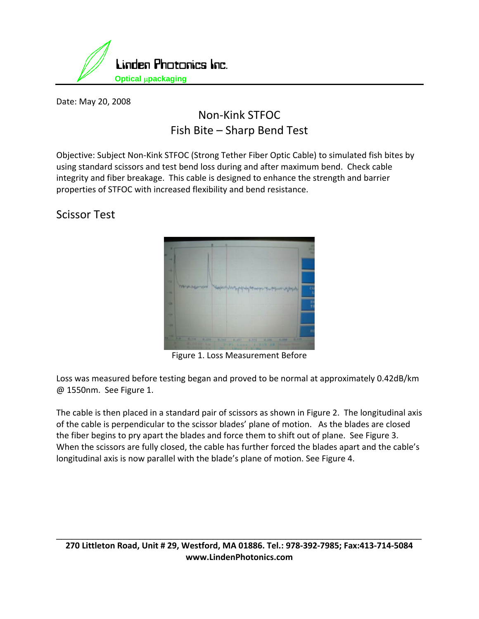

Date: May 20, 2008

## Non‐Kink STFOC Fish Bite – Sharp Bend Test

Objective: Subject Non‐Kink STFOC (Strong Tether Fiber Optic Cable) to simulated fish bites by using standard scissors and test bend loss during and after maximum bend. Check cable integrity and fiber breakage. This cable is designed to enhance the strength and barrier properties of STFOC with increased flexibility and bend resistance.

Scissor Test



Figure 1. Loss Measurement Before

Loss was measured before testing began and proved to be normal at approximately 0.42dB/km @ 1550nm. See Figure 1.

The cable is then placed in a standard pair of scissors as shown in Figure 2. The longitudinal axis of the cable is perpendicular to the scissor blades' plane of motion. As the blades are closed the fiber begins to pry apart the blades and force them to shift out of plane. See Figure 3. When the scissors are fully closed, the cable has further forced the blades apart and the cable's longitudinal axis is now parallel with the blade's plane of motion. See Figure 4.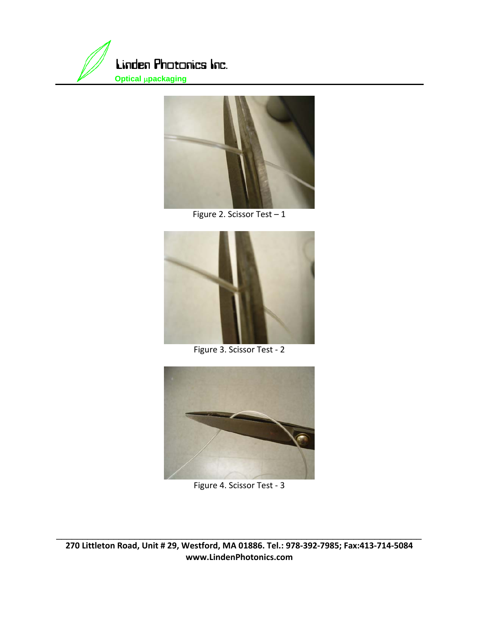



Figure 2. Scissor Test - 1



Figure 3. Scissor Test - 2



Figure 4. Scissor Test ‐ 3

270 Littleton Road, Unit # 29, Westford, MA 01886. Tel.: 978-392-7985; Fax:413-714-5084 **www.LindenPhotonics.com**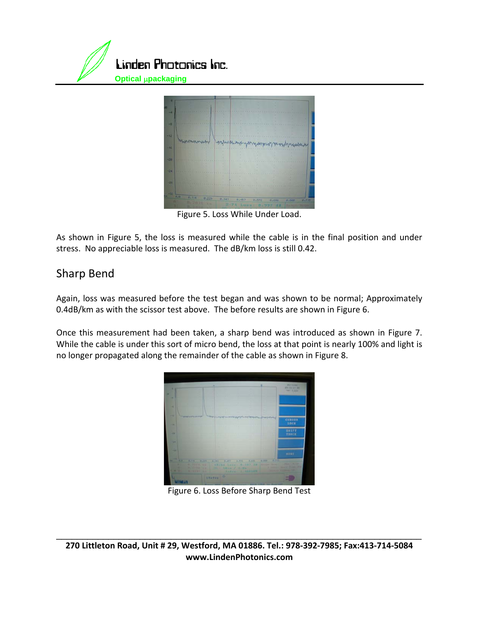



Figure 5. Loss While Under Load.

As shown in Figure 5, the loss is measured while the cable is in the final position and under stress. No appreciable loss is measured. The dB/km loss is still 0.42.

## Sharp Bend

Again, loss was measured before the test began and was shown to be normal; Approximately 0.4dB/km as with the scissor test above. The before results are shown in Figure 6.

Once this measurement had been taken, a sharp bend was introduced as shown in Figure 7. While the cable is under this sort of micro bend, the loss at that point is nearly 100% and light is no longer propagated along the remainder of the cable as shown in Figure 8.



Figure 6. Loss Before Sharp Bend Test

270 Littleton Road, Unit # 29, Westford, MA 01886. Tel.: 978-392-7985; Fax:413-714-5084 **www.LindenPhotonics.com**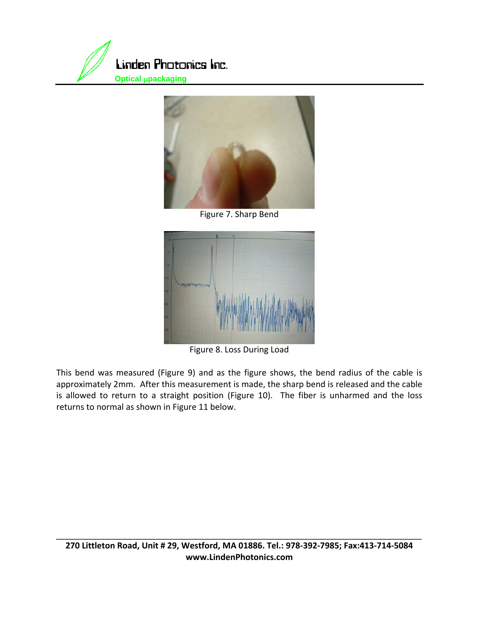



Figure 7. Sharp Bend



Figure 8. Loss During Load

This bend was measured (Figure 9) and as the figure shows, the bend radius of the cable is approximately 2mm. After this measurement is made, the sharp bend is released and the cable is allowed to return to a straight position (Figure 10). The fiber is unharmed and the loss returns to normal as shown in Figure 11 below.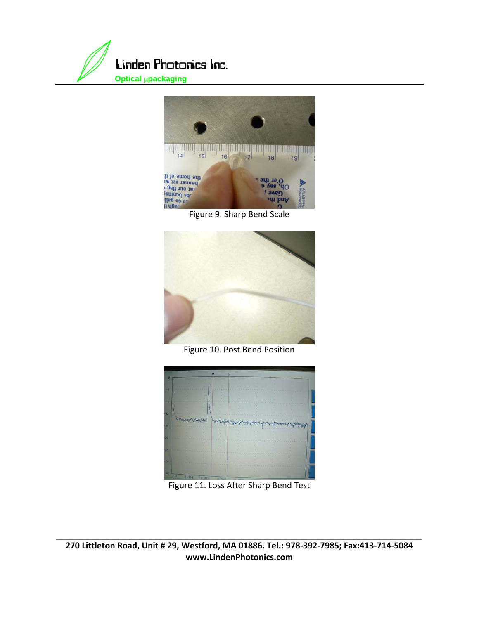





Figure 10. Post Bend Position



Figure 11. Loss After Sharp Bend Test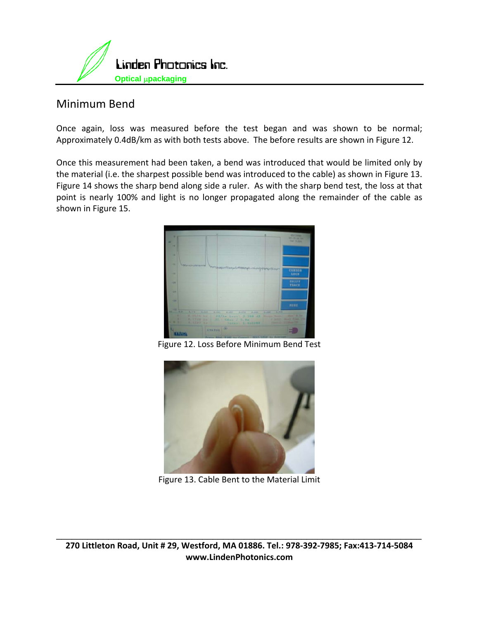

## Minimum Bend

Once again, loss was measured before the test began and was shown to be normal; Approximately 0.4dB/km as with both tests above. The before results are shown in Figure 12.

Once this measurement had been taken, a bend was introduced that would be limited only by the material (i.e. the sharpest possible bend was introduced to the cable) as shown in Figure 13. Figure 14 shows the sharp bend along side a ruler. As with the sharp bend test, the loss at that point is nearly 100% and light is no longer propagated along the remainder of the cable as shown in Figure 15.



Figure 12. Loss Before Minimum Bend Test



Figure 13. Cable Bent to the Material Limit

270 Littleton Road, Unit # 29, Westford, MA 01886. Tel.: 978-392-7985; Fax:413-714-5084 **www.LindenPhotonics.com**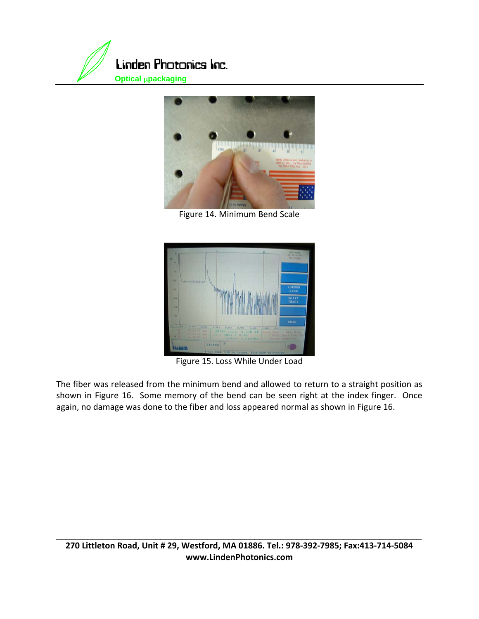



Figure 14. Minimum Bend Scale



Figure 15. Loss While Under Load

The fiber was released from the minimum bend and allowed to return to a straight position as shown in Figure 16. Some memory of the bend can be seen right at the index finger. Once again, no damage was done to the fiber and loss appeared normal as shown in Figure 16.